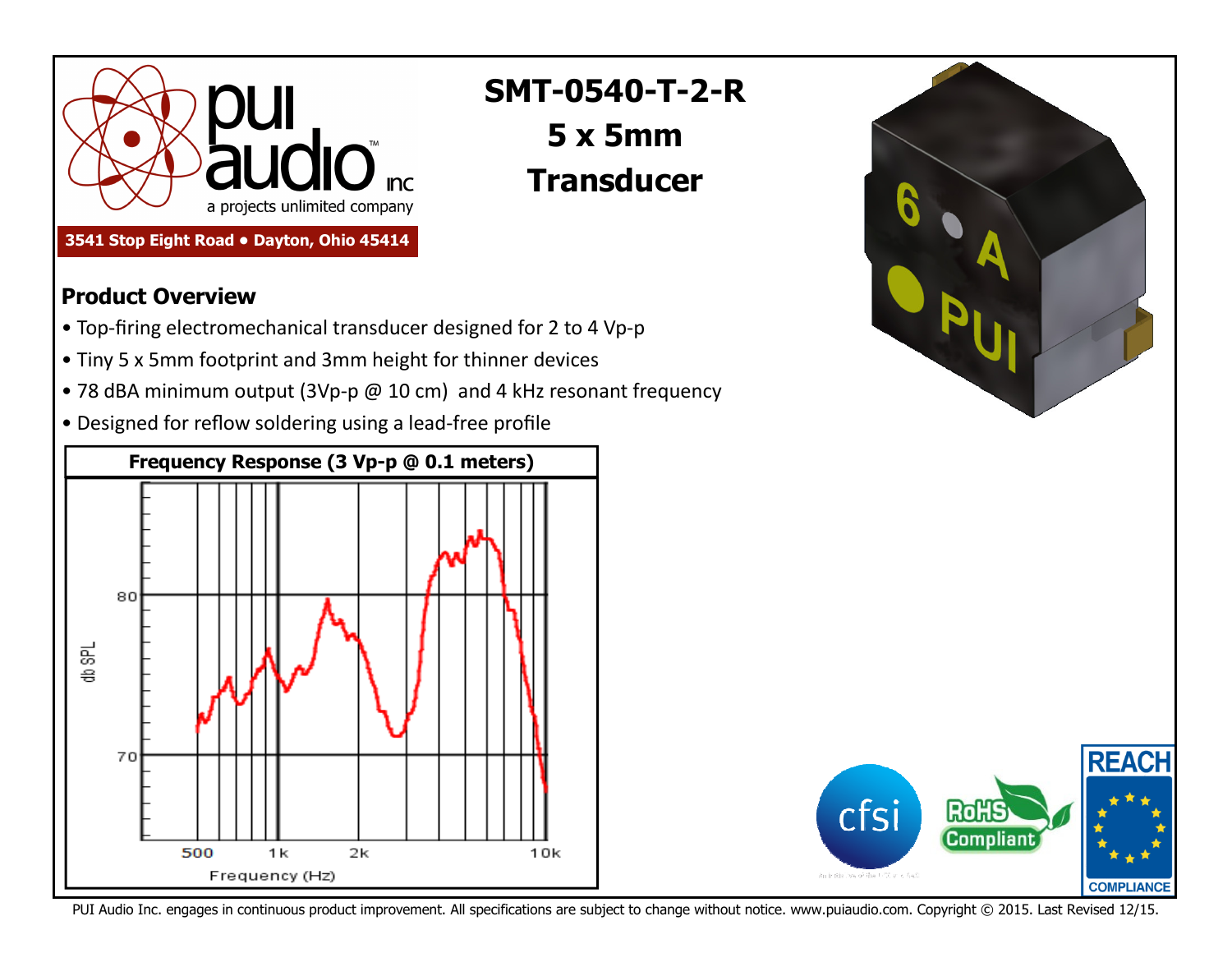

**3541 Stop Eight Road • Dayton, Ohio 45414** 

## **SMT-0540-T-2-R 5 x 5mmTransducer**

## **Product Overview**

- Top-firing electromechanical transducer designed for 2 to 4 Vp-p
- Tiny 5 x 5mm footprint and 3mm height for thinner devices
- 78 dBA minimum output (3Vp-p @ 10 cm) and 4 kHz resonant frequency
- Designed for reflow soldering using a lead-free profile







PUI Audio Inc. engages in continuous product improvement. All specifications are subject to change without notice. www.puiaudio.com. Copyright © 2015. Last Revised 12/15.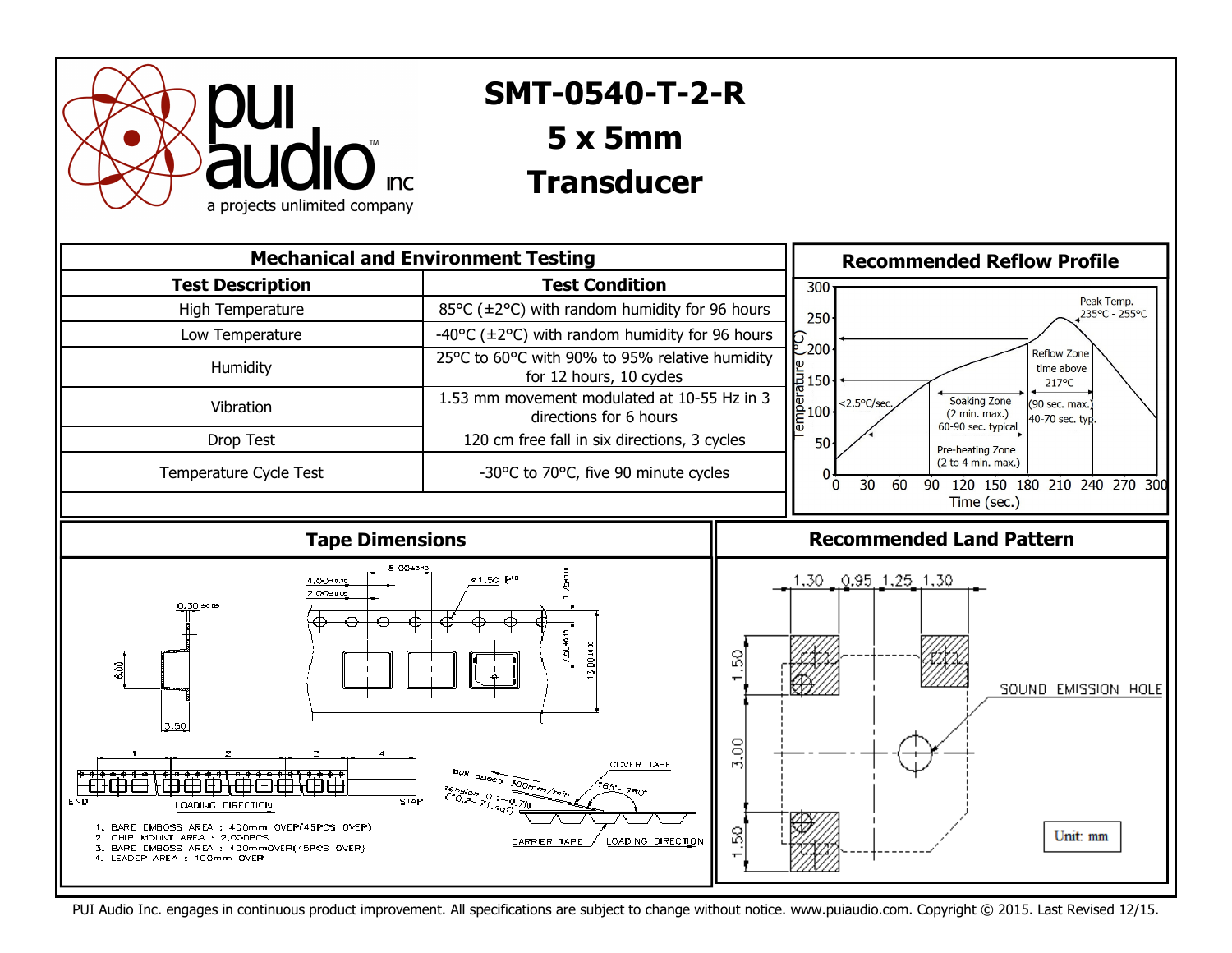

## **AT-1438-TWT-R SMT-0540-T-2-R 40mm Speaker 5 x 5mm**

## **Transducer**



PUI Audio Inc. engages in continuous product improvement. All specifications are subject to change without notice. www.puiaudio.com. Copyright © 2015. Last Revised 12/15.